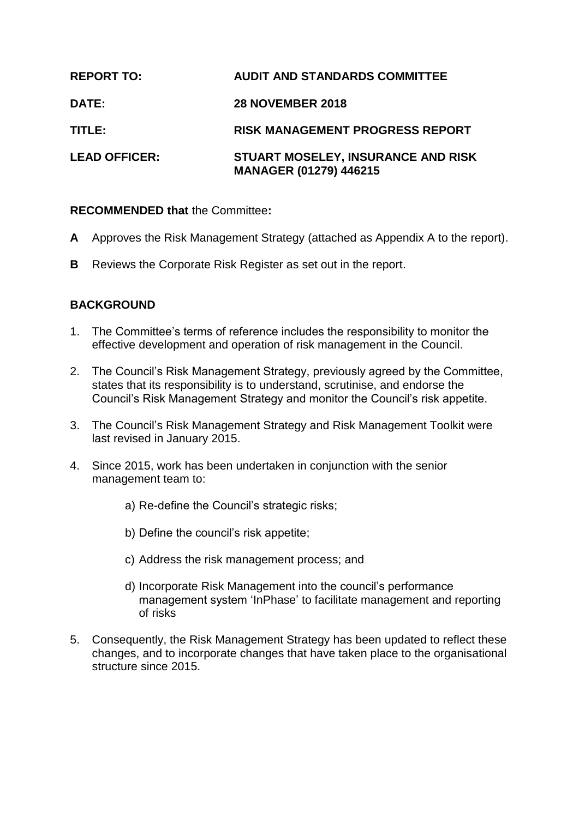| <b>REPORT TO:</b>    | <b>AUDIT AND STANDARDS COMMITTEE</b>                                |
|----------------------|---------------------------------------------------------------------|
| <b>DATE:</b>         | <b>28 NOVEMBER 2018</b>                                             |
| TITLE:               | <b>RISK MANAGEMENT PROGRESS REPORT</b>                              |
| <b>LEAD OFFICER:</b> | STUART MOSELEY, INSURANCE AND RISK<br><b>MANAGER (01279) 446215</b> |

# **RECOMMENDED that** the Committee**:**

- **A** Approves the Risk Management Strategy (attached as Appendix A to the report).
- **B** Reviews the Corporate Risk Register as set out in the report.

# **BACKGROUND**

- 1. The Committee's terms of reference includes the responsibility to monitor the effective development and operation of risk management in the Council.
- 2. The Council's Risk Management Strategy, previously agreed by the Committee, states that its responsibility is to understand, scrutinise, and endorse the Council's Risk Management Strategy and monitor the Council's risk appetite.
- 3. The Council's Risk Management Strategy and Risk Management Toolkit were last revised in January 2015.
- 4. Since 2015, work has been undertaken in conjunction with the senior management team to:
	- a) Re-define the Council's strategic risks;
	- b) Define the council's risk appetite;
	- c) Address the risk management process; and
	- d) Incorporate Risk Management into the council's performance management system 'InPhase' to facilitate management and reporting of risks
- 5. Consequently, the Risk Management Strategy has been updated to reflect these changes, and to incorporate changes that have taken place to the organisational structure since 2015.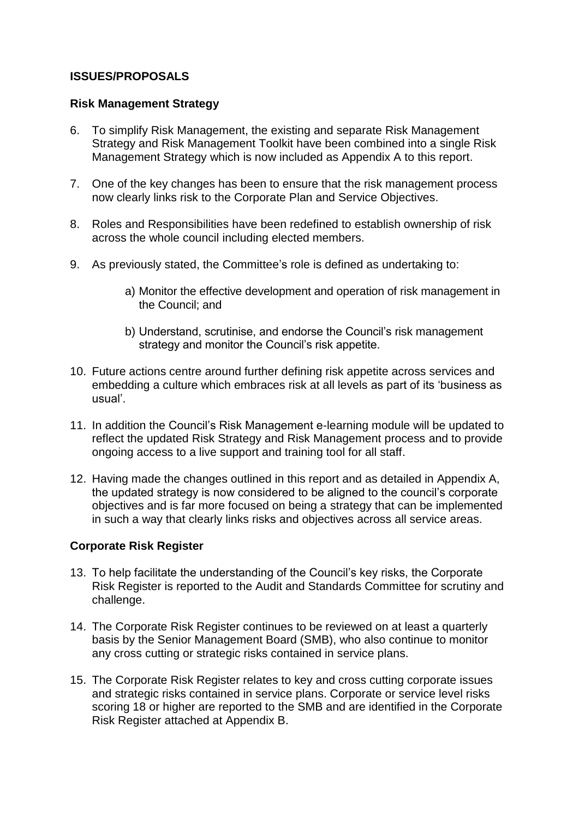# **ISSUES/PROPOSALS**

### **Risk Management Strategy**

- 6. To simplify Risk Management, the existing and separate Risk Management Strategy and Risk Management Toolkit have been combined into a single Risk Management Strategy which is now included as Appendix A to this report.
- 7. One of the key changes has been to ensure that the risk management process now clearly links risk to the Corporate Plan and Service Objectives.
- 8. Roles and Responsibilities have been redefined to establish ownership of risk across the whole council including elected members.
- 9. As previously stated, the Committee's role is defined as undertaking to:
	- a) Monitor the effective development and operation of risk management in the Council; and
	- b) Understand, scrutinise, and endorse the Council's risk management strategy and monitor the Council's risk appetite.
- 10. Future actions centre around further defining risk appetite across services and embedding a culture which embraces risk at all levels as part of its 'business as usual'.
- 11. In addition the Council's Risk Management e-learning module will be updated to reflect the updated Risk Strategy and Risk Management process and to provide ongoing access to a live support and training tool for all staff.
- 12. Having made the changes outlined in this report and as detailed in Appendix A, the updated strategy is now considered to be aligned to the council's corporate objectives and is far more focused on being a strategy that can be implemented in such a way that clearly links risks and objectives across all service areas.

### **Corporate Risk Register**

- 13. To help facilitate the understanding of the Council's key risks, the Corporate Risk Register is reported to the Audit and Standards Committee for scrutiny and challenge.
- 14. The Corporate Risk Register continues to be reviewed on at least a quarterly basis by the Senior Management Board (SMB), who also continue to monitor any cross cutting or strategic risks contained in service plans.
- 15. The Corporate Risk Register relates to key and cross cutting corporate issues and strategic risks contained in service plans. Corporate or service level risks scoring 18 or higher are reported to the SMB and are identified in the Corporate Risk Register attached at Appendix B.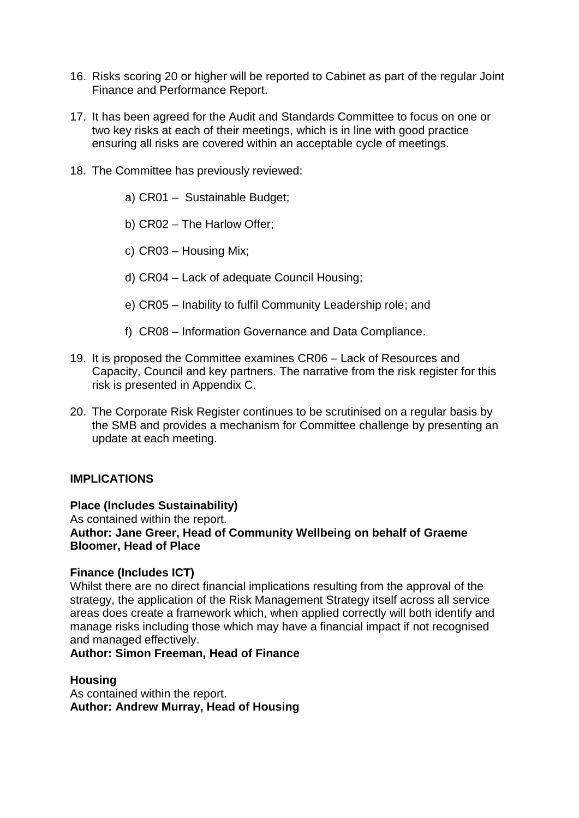- 16. Risks scoring 20 or higher will be reported to Cabinet as part of the regular Joint Finance and Performance Report.
- 17. It has been agreed for the Audit and Standards Committee to focus on one or two key risks at each of their meetings, which is in line with good practice ensuring all risks are covered within an acceptable cycle of meetings.
- 18. The Committee has previously reviewed:
	- a) CR01 Sustainable Budget;
	- b) CR02 The Harlow Offer;
	- c) CR03 Housing Mix;
	- d) CR04 Lack of adequate Council Housing;
	- e) CR05 Inability to fulfil Community Leadership role; and
	- f) CR08 Information Governance and Data Compliance.
- 19. It is proposed the Committee examines CR06 Lack of Resources and Capacity, Council and key partners. The narrative from the risk register for this risk is presented in Appendix C.
- 20. The Corporate Risk Register continues to be scrutinised on a regular basis by the SMB and provides a mechanism for Committee challenge by presenting an update at each meeting.

### **IMPLICATIONS**

#### **Place (Includes Sustainability)**

As contained within the report. **Author: Jane Greer, Head of Community Wellbeing on behalf of Graeme Bloomer, Head of Place**

#### **Finance (Includes ICT)**

Whilst there are no direct financial implications resulting from the approval of the strategy, the application of the Risk Management Strategy itself across all service areas does create a framework which, when applied correctly will both identify and manage risks including those which may have a financial impact if not recognised and managed effectively.

#### **Author: Simon Freeman, Head of Finance**

#### **Housing**

As contained within the report. **Author: Andrew Murray, Head of Housing**